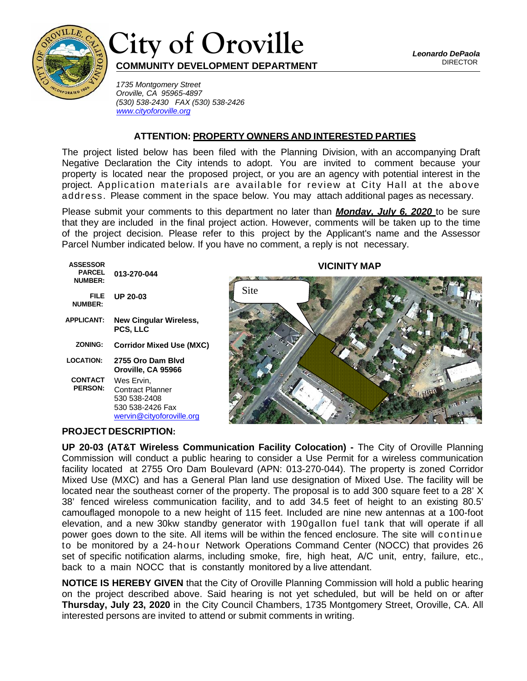



*1735 Montgomery Street Oroville, CA 95965-4897 (530) 538-2430 FAX (530) 538-2426 [www.cityoforoville.org](http://www.cityoforoville.org/)*

## **ATTENTION: PROPERTY OWNERS AND INTERESTED PARTIES**

The project listed below has been filed with the Planning Division, with an accompanying Draft Negative Declaration the City intends to adopt. You are invited to comment because your property is located near the proposed project, or you are an agency with potential interest in the project. Application materials are available for review at City Hall at the above address. Please comment in the space below. You may attach additional pages as necessary.

Please submit your comments to this department no later than *Monday, July 6, 2020* to be sure that they are included in the final project action. However, comments will be taken up to the time of the project decision. Please refer to this project by the Applicant's name and the Assessor Parcel Number indicated below. If you have no comment, a reply is not necessary.

| <b>ASSESSOR</b><br><b>PARCEL</b><br><b>NUMBER:</b> | 013-270-044                                                                                     |
|----------------------------------------------------|-------------------------------------------------------------------------------------------------|
| FILE<br><b>NUMBER:</b>                             | UP 20-03                                                                                        |
| <b>APPLICANT:</b>                                  | <b>New Cingular Wireless,</b><br>PCS, LLC                                                       |
| ZONING:                                            | <b>Corridor Mixed Use (MXC)</b>                                                                 |
| <b>LOCATION:</b>                                   | 2755 Oro Dam Blvd<br>Oroville, CA 95966                                                         |
| CONTACT<br><b>PERSON:</b>                          | Wes Ervin,<br>Contract Planner<br>530 538-2408<br>530 538-2426 Fax<br>wervin@cityoforoville.org |
|                                                    |                                                                                                 |

## **VICINITY MAP**



## **PROJECT DESCRIPTION:**

**UP 20-03 (AT&T Wireless Communication Facility Colocation) -** The City of Oroville Planning Commission will conduct a public hearing to consider a Use Permit for a wireless communication facility located at 2755 Oro Dam Boulevard (APN: 013-270-044). The property is zoned Corridor Mixed Use (MXC) and has a General Plan land use designation of Mixed Use. The facility will be located near the southeast corner of the property. The proposal is to add 300 square feet to a 28' X 38' fenced wireless communication facility, and to add 34.5 feet of height to an existing 80.5' camouflaged monopole to a new height of 115 feet. Included are nine new antennas at a 100-foot elevation, and a new 30kw standby generator with 190gallon fuel tank that will operate if all power goes down to the site. All items will be within the fenced enclosure. The site will continue to be monitored by a 24-hour Network Operations Command Center (NOCC) that provides 26 set of specific notification alarms, including smoke, fire, high heat, A/C unit, entry, failure, etc., back to a main NOCC that is constantly monitored by a live attendant.

**NOTICE IS HEREBY GIVEN** that the City of Oroville Planning Commission will hold a public hearing on the project described above. Said hearing is not yet scheduled, but will be held on or after **Thursday, July 23, 2020** in the City Council Chambers, 1735 Montgomery Street, Oroville, CA. All interested persons are invited to attend or submit comments in writing.